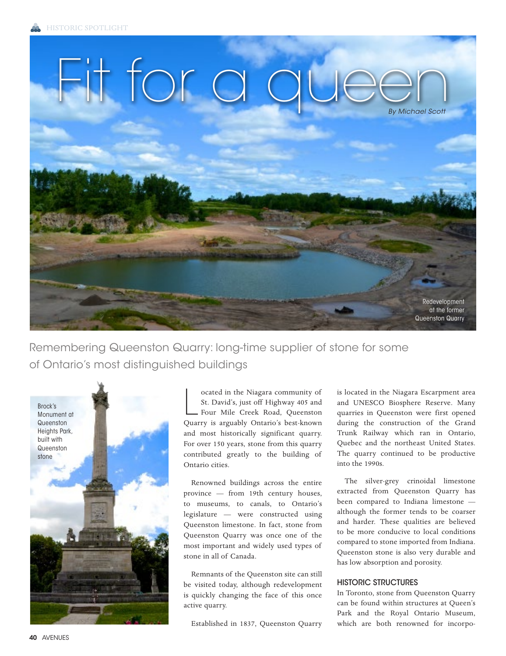

Remembering Queenston Quarry: long-time supplier of stone for some of Ontario's most distinguished buildings



ocated in the Niagara community of<br>St. David's, just off Highway 405 and<br>Four Mile Creek Road, Queenston<br>Quarry is arguably Ontario's best-known ocated in the Niagara community of St. David's, just off Highway 405 and Four Mile Creek Road, Queenston and most historically significant quarry. For over 150 years, stone from this quarry contributed greatly to the building of Ontario cities.

Renowned buildings across the entire province — from 19th century houses, to museums, to canals, to Ontario's legislature — were constructed using Queenston limestone. In fact, stone from Queenston Quarry was once one of the most important and widely used types of stone in all of Canada.

Remnants of the Queenston site can still be visited today, although redevelopment is quickly changing the face of this once active quarry.

Established in 1837, Queenston Quarry

is located in the Niagara Escarpment area and UNESCO Biosphere Reserve. Many quarries in Queenston were first opened during the construction of the Grand Trunk Railway which ran in Ontario, Quebec and the northeast United States. The quarry continued to be productive into the 1990s.

The silver-grey crinoidal limestone extracted from Queenston Quarry has been compared to Indiana limestone although the former tends to be coarser and harder. These qualities are believed to be more conducive to local conditions compared to stone imported from Indiana. Queenston stone is also very durable and has low absorption and porosity.

## HISTORIC STRUCTURES

In Toronto, stone from Queenston Quarry can be found within structures at Queen's Park and the Royal Ontario Museum, which are both renowned for incorpo